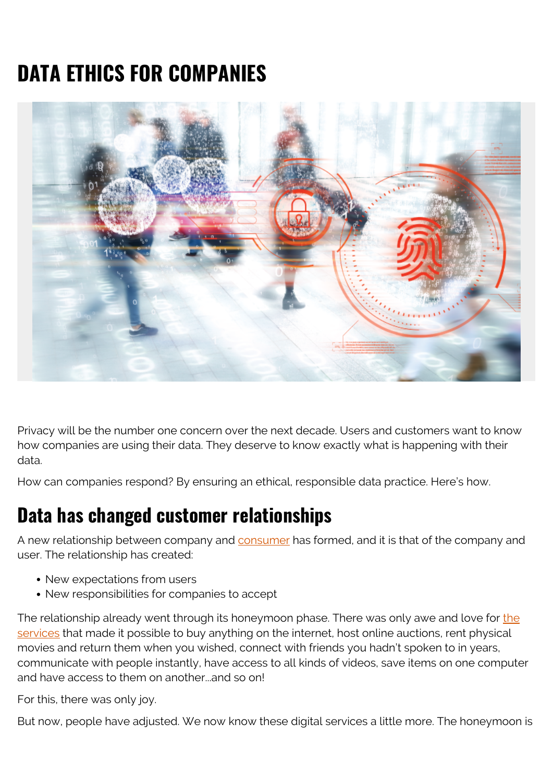# **DATA ETHICS FOR COMPANIES**



Privacy will be the number one concern over the next decade. Users and customers want to know how companies are using their data. They deserve to know exactly what is happening with their data.

How can companies respond? By ensuring an ethical, responsible data practice. Here's how.

#### **Data has changed customer relationships**

A new relationship between company and [consumer](https://blogs.bmc.com/blogs/internal-vs-external-customers/) has formed, and it is that of the company and user. The relationship has created:

- New expectations from users
- New responsibilities for companies to accept

The relationship already went through its honeymoon phase. There was only awe and love for [the](https://blogs.bmc.com/blogs/it-service/) [services](https://blogs.bmc.com/blogs/it-service/) that made it possible to buy anything on the internet, host online auctions, rent physical movies and return them when you wished, connect with friends you hadn't spoken to in years, communicate with people instantly, have access to all kinds of videos, save items on one computer and have access to them on another...and so on!

For this, there was only joy.

But now, people have adjusted. We now know these digital services a little more. The honeymoon is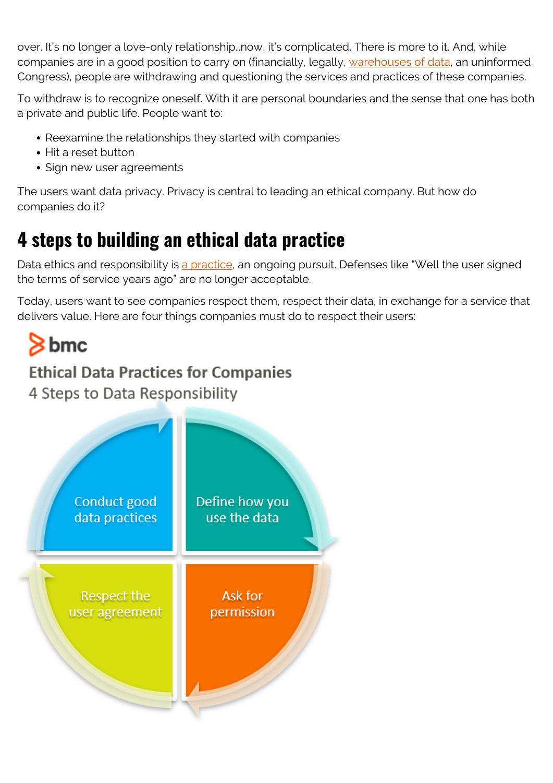over. It's no longer a love-only relationship…now, it's complicated. There is more to it. And, while companies are in a good position to carry on (financially, legally, [warehouses of data,](https://blogs.bmc.com/blogs/data-lake-vs-data-warehouse-vs-database-whats-the-difference/) an uninformed Congress), people are withdrawing and questioning the services and practices of these companies.

To withdraw is to recognize oneself. With it are personal boundaries and the sense that one has both a private and public life. People want to:

- Reexamine the relationships they started with companies
- Hit a reset button
- Sign new user agreements

The users want data privacy. Privacy is central to leading an ethical company. But how do companies do it?

# **4 steps to building an ethical data practice**

Data ethics and responsibility is [a practice](https://blogs.bmc.com/blogs/practice-vs-process/), an ongoing pursuit. Defenses like "Well the user signed the terms of service years ago" are no longer acceptable.

Today, users want to see companies respect them, respect their data, in exchange for a service that delivers value. Here are four things companies must do to respect their users:

# $8<sub>bmc</sub>$

#### **Ethical Data Practices for Companies**

4 Steps to Data Responsibility

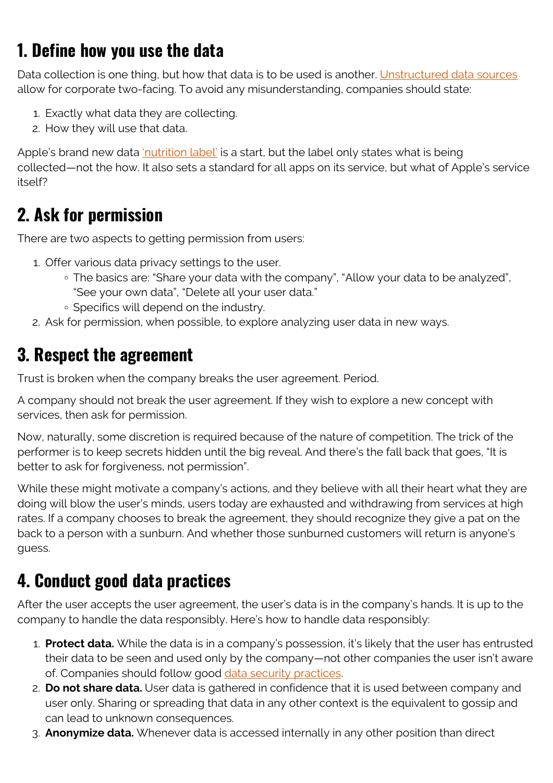#### **1. Define how you use the data**

Data collection is one thing, but how that data is to be used is another. [Unstructured data sources](https://blogs.bmc.com/blogs/structured-vs-unstructured-data/) allow for corporate two-facing. To avoid any misunderstanding, companies should state:

- 1. Exactly what data they are collecting.
- 2. How they will use that data.

Apple's brand new data ['nutrition label'](https://www.theverge.com/2020/11/5/21551926/apple-privacy-developers-nutrition-labels-app-store-ios-14) is a start, but the label only states what is being collected—not the how. It also sets a standard for all apps on its service, but what of Apple's service itself?

#### **2. Ask for permission**

There are two aspects to getting permission from users:

- 1. Offer various data privacy settings to the user.
	- The basics are: "Share your data with the company", "Allow your data to be analyzed", "See your own data", "Delete all your user data."
	- Specifics will depend on the industry.
- 2. Ask for permission, when possible, to explore analyzing user data in new ways.

#### **3. Respect the agreement**

Trust is broken when the company breaks the user agreement. Period.

A company should not break the user agreement. If they wish to explore a new concept with services, then ask for permission.

Now, naturally, some discretion is required because of the nature of competition. The trick of the performer is to keep secrets hidden until the big reveal. And there's the fall back that goes, "It is better to ask for forgiveness, not permission".

While these might motivate a company's actions, and they believe with all their heart what they are doing will blow the user's minds, users today are exhausted and withdrawing from services at high rates. If a company chooses to break the agreement, they should recognize they give a pat on the back to a person with a sunburn. And whether those sunburned customers will return is anyone's guess.

### **4. Conduct good data practices**

After the user accepts the user agreement, the user's data is in the company's hands. It is up to the company to handle the data responsibly. Here's how to handle data responsibly:

- 1. **Protect data.** While the data is in a company's possession, it's likely that the user has entrusted their data to be seen and used only by the company—not other companies the user isn't aware of. Companies should follow good [data security practices](https://blogs.bmc.com/blogs/data-security/).
- 2. **Do not share data.** User data is gathered in confidence that it is used between company and user only. Sharing or spreading that data in any other context is the equivalent to gossip and can lead to unknown consequences.
- 3. **Anonymize data.** Whenever data is accessed internally in any other position than direct